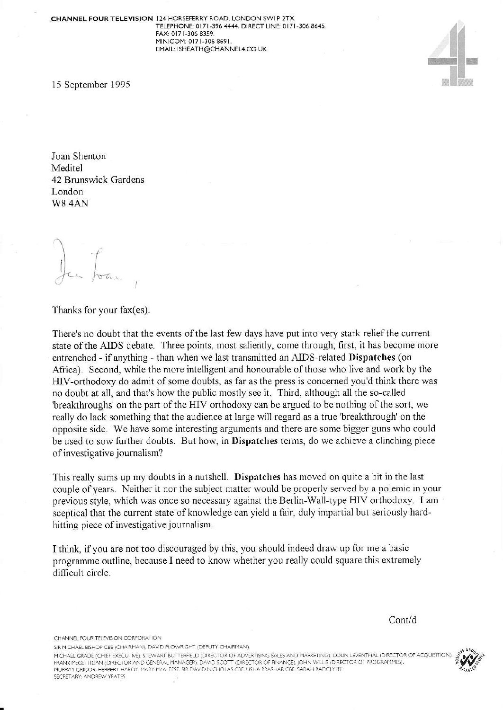

Joan Shenton Meditel 42 Brunswick Gardens London W8 4AN

Jean Jos

Thanks for your fax(es).

There's no doubt that the events of the last few days have put into very stark relief the current state of the AIDS debate. Three points, most saliently, come through; first, it has become more entrenched - if anything - than when we last transmitted an AIDS-related Dispatches (on Africa). Second, while the more intelligent and honourable of those who live and work by the HIV-orthodoxy do admit of some doubts, as far as the press is concerned you'd think there was no doubt at all, and that's how the public mostly see it. Third, although all the so-called 'breakthroughs' on the part of the HIV orthodoxy can be argued to be nothing of the sort, we really do lack something that the audience at large will regard as a true 'breakthrough' on the opposite side. We have some interesting arguments and there are some bigger guns who could be used to sow further doubts. But how, in Dispatches terms, do we achieve a clinching piece of investigative journalism?

This really sums up my doubts in a nutshell. Dispatches has moved on quite a bit in the last couple of years. Neither it nor the subject matter would be properly served by a polemic in your previous style, which was once so necessary against the Berlin-Wall-type HIV orthodoxy. I am sceptical that the current state of knowledge can yield a fair, duly impartial but seriously hardhitting piece of investigative journalism.

I think, if you are not too discouraged by this, you should indeed draw up for me a basic programme outline, because I need to know whether you really could square this extremely difficult circle.

Cont/d

CHANNEL FOUR TELEVISION CORPORATION

SIR MICHAEL BISHOP CBE (CHAIRMAN), DAVID PLOWRIGHT (DEPUTY CHAIRMAN).

MICHAEL GRADE (CHIEF EXECUTIVE), STEWART BUTTERFIELD (DIRECTOR OF ADVERTISING SALES AND MARKETING), COLIN LEVENTHAL (DIRECTOR OF ACQUISITION) FRANK MCGETTIGAN (DIRECTOR AND GENERAL MANAGER). DAVID SCOTT (DIRECTOR OF FINANCE), JOHN WILLIS (DIRECTOR OF PROGRAMMES).<br>MURRAY GRIGOR, HERBERT HARDY, MARY MCALEESE, SIR DAVID NICHOLAS CBE, USHA PRASHAR CBE, SARAH RADCLYF